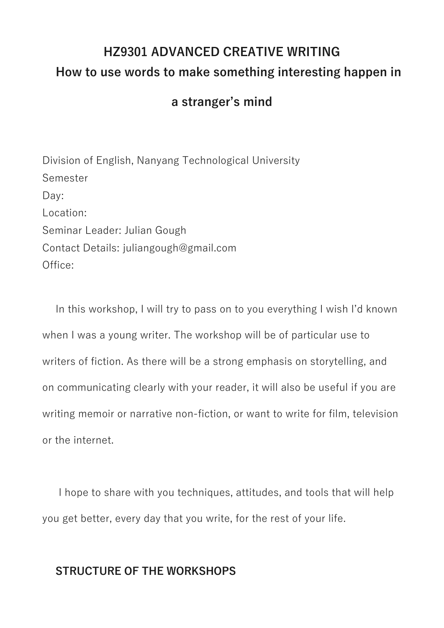# **HZ9301 ADVANCED CREATIVE WRITING How to use words to make something interesting happen in**

# **a stranger's mind**

Division of English, Nanyang Technological University Semester Day: Location: Seminar Leader: Julian Gough Contact Details: juliangough@gmail.com Office:

In this workshop, I will try to pass on to you everything I wish I'd known when I was a young writer. The workshop will be of particular use to writers of fiction. As there will be a strong emphasis on storytelling, and on communicating clearly with your reader, it will also be useful if you are writing memoir or narrative non-fiction, or want to write for film, television or the internet.

I hope to share with you techniques, attitudes, and tools that will help you get better, every day that you write, for the rest of your life.

# **STRUCTURE OF THE WORKSHOPS**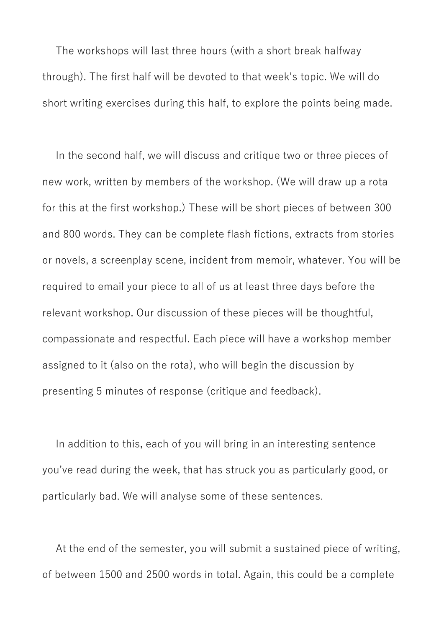The workshops will last three hours (with a short break halfway through). The first half will be devoted to that week's topic. We will do short writing exercises during this half, to explore the points being made.

In the second half, we will discuss and critique two or three pieces of new work, written by members of the workshop. (We will draw up a rota for this at the first workshop.) These will be short pieces of between 300 and 800 words. They can be complete flash fictions, extracts from stories or novels, a screenplay scene, incident from memoir, whatever. You will be required to email your piece to all of us at least three days before the relevant workshop. Our discussion of these pieces will be thoughtful, compassionate and respectful. Each piece will have a workshop member assigned to it (also on the rota), who will begin the discussion by presenting 5 minutes of response (critique and feedback).

In addition to this, each of you will bring in an interesting sentence you've read during the week, that has struck you as particularly good, or particularly bad. We will analyse some of these sentences.

At the end of the semester, you will submit a sustained piece of writing, of between 1500 and 2500 words in total. Again, this could be a complete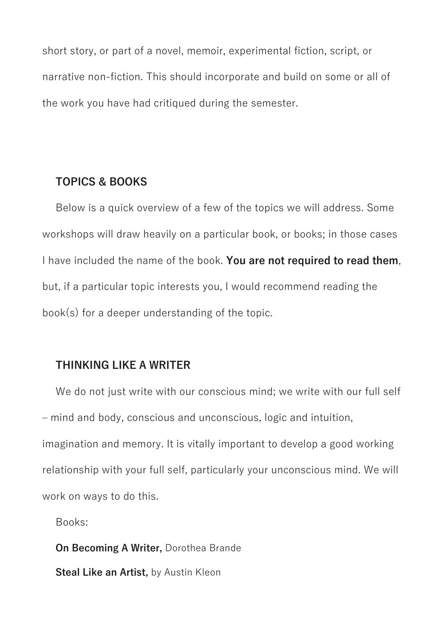short story, or part of a novel, memoir, experimental fiction, script, or narrative non-fiction. This should incorporate and build on some or all of the work you have had critiqued during the semester.

#### **TOPICS & BOOKS**

Below is a quick overview of a few of the topics we will address. Some workshops will draw heavily on a particular book, or books; in those cases I have included the name of the book. **You are not required to read them**, but, if a particular topic interests you, I would recommend reading the book(s) for a deeper understanding of the topic.

#### **THINKING LIKE A WRITER**

We do not just write with our conscious mind; we write with our full self – mind and body, conscious and unconscious, logic and intuition, imagination and memory. It is vitally important to develop a good working relationship with your full self, particularly your unconscious mind. We will work on ways to do this.

Books:

**On Becoming A Writer,** Dorothea Brande **Steal Like an Artist, by Austin Kleon**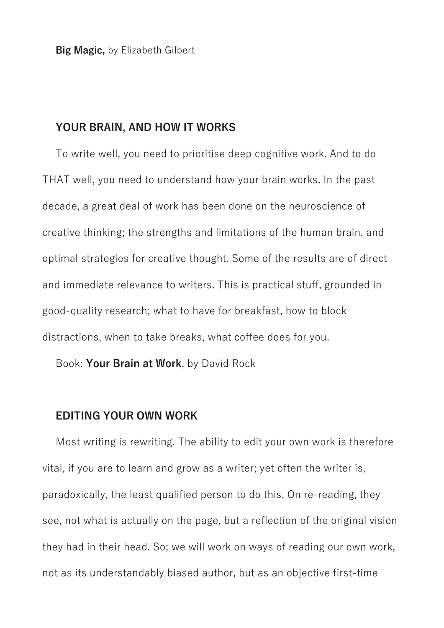**Big Magic,** by Elizabeth Gilbert

#### **YOUR BRAIN, AND HOW IT WORKS**

To write well, you need to prioritise deep cognitive work. And to do THAT well, you need to understand how your brain works. In the past decade, a great deal of work has been done on the neuroscience of creative thinking; the strengths and limitations of the human brain, and optimal strategies for creative thought. Some of the results are of direct and immediate relevance to writers. This is practical stuff, grounded in good-quality research; what to have for breakfast, how to block distractions, when to take breaks, what coffee does for you.

Book: **Your Brain at Work**, by David Rock

#### **EDITING YOUR OWN WORK**

Most writing is rewriting. The ability to edit your own work is therefore vital, if you are to learn and grow as a writer; yet often the writer is, paradoxically, the least qualified person to do this. On re-reading, they see, not what is actually on the page, but a reflection of the original vision they had in their head. So; we will work on ways of reading our own work, not as its understandably biased author, but as an objective first-time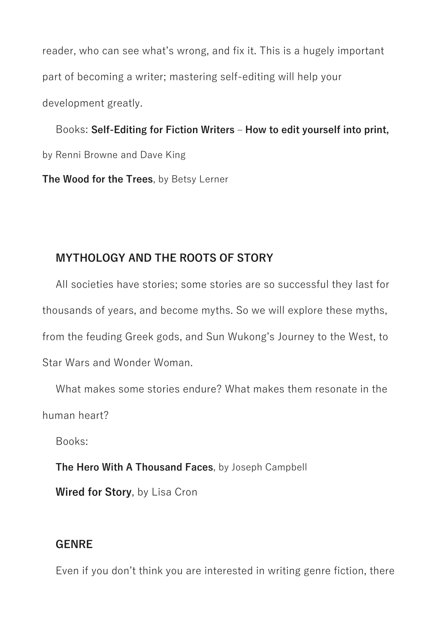reader, who can see what's wrong, and fix it. This is a hugely important part of becoming a writer; mastering self-editing will help your development greatly.

Books: **Self-Editing for Fiction Writers – How to edit yourself into print,**  by Renni Browne and Dave King

**The Wood for the Trees**, by Betsy Lerner

# **MYTHOLOGY AND THE ROOTS OF STORY**

All societies have stories; some stories are so successful they last for thousands of years, and become myths. So we will explore these myths, from the feuding Greek gods, and Sun Wukong's Journey to the West, to Star Wars and Wonder Woman.

What makes some stories endure? What makes them resonate in the human heart?

Books:

**The Hero With A Thousand Faces**, by Joseph Campbell

**Wired for Story**, by Lisa Cron

# **GENRE**

Even if you don't think you are interested in writing genre fiction, there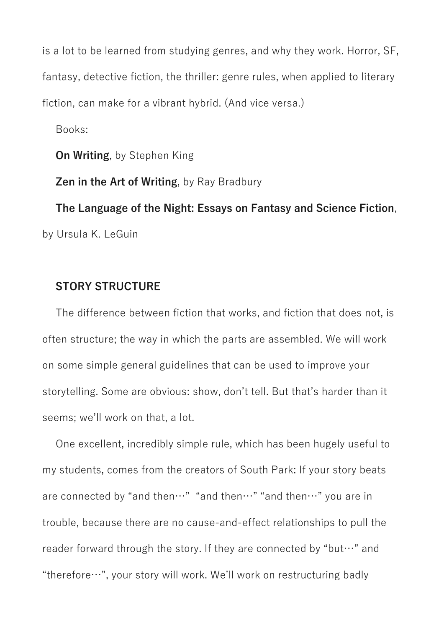is a lot to be learned from studying genres, and why they work. Horror, SF, fantasy, detective fiction, the thriller: genre rules, when applied to literary fiction, can make for a vibrant hybrid. (And vice versa.)

Books:

**On Writing**, by Stephen King

**Zen in the Art of Writing**, by Ray Bradbury

**The Language of the Night: Essays on Fantasy and Science Fiction**, by Ursula K. LeGuin

#### **STORY STRUCTURE**

The difference between fiction that works, and fiction that does not, is often structure; the way in which the parts are assembled. We will work on some simple general guidelines that can be used to improve your storytelling. Some are obvious: show, don't tell. But that's harder than it seems; we'll work on that, a lot.

One excellent, incredibly simple rule, which has been hugely useful to my students, comes from the creators of South Park: If your story beats are connected by "and then…" "and then…" "and then…" you are in trouble, because there are no cause-and-effect relationships to pull the reader forward through the story. If they are connected by "but…" and "therefore…", your story will work. We'll work on restructuring badly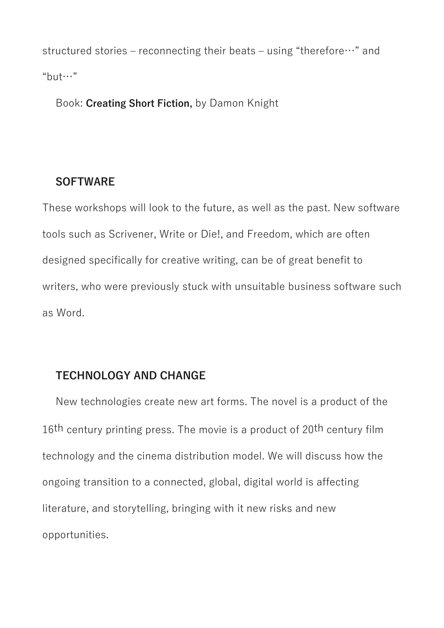structured stories – reconnecting their beats – using "therefore…" and "but…"

Book: **Creating Short Fiction,** by Damon Knight

#### **SOFTWARE**

These workshops will look to the future, as well as the past. New software tools such as Scrivener, Write or Die!, and Freedom, which are often designed specifically for creative writing, can be of great benefit to writers, who were previously stuck with unsuitable business software such as Word.

# **TECHNOLOGY AND CHANGE**

New technologies create new art forms. The novel is a product of the 16<sup>th</sup> century printing press. The movie is a product of 20<sup>th</sup> century film technology and the cinema distribution model. We will discuss how the ongoing transition to a connected, global, digital world is affecting literature, and storytelling, bringing with it new risks and new opportunities.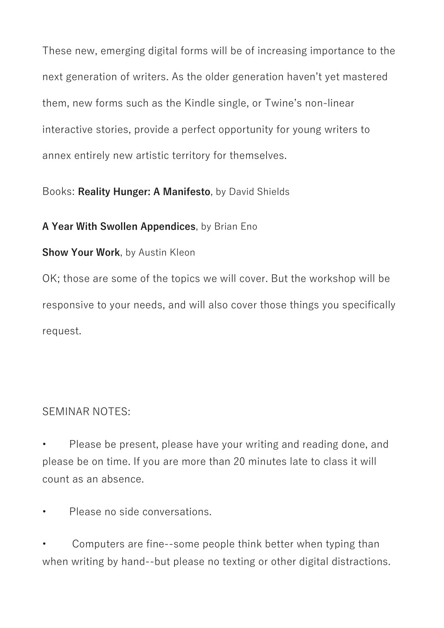These new, emerging digital forms will be of increasing importance to the next generation of writers. As the older generation haven't yet mastered them, new forms such as the Kindle single, or Twine's non-linear interactive stories, provide a perfect opportunity for young writers to annex entirely new artistic territory for themselves.

# Books: **Reality Hunger: A Manifesto**, by David Shields

# **A Year With Swollen Appendices**, by Brian Eno

#### **Show Your Work**, by Austin Kleon

OK; those are some of the topics we will cover. But the workshop will be responsive to your needs, and will also cover those things you specifically request.

# SEMINAR NOTES:

• Please be present, please have your writing and reading done, and please be on time. If you are more than 20 minutes late to class it will count as an absence.

• Please no side conversations.

• Computers are fine--some people think better when typing than when writing by hand--but please no texting or other digital distractions.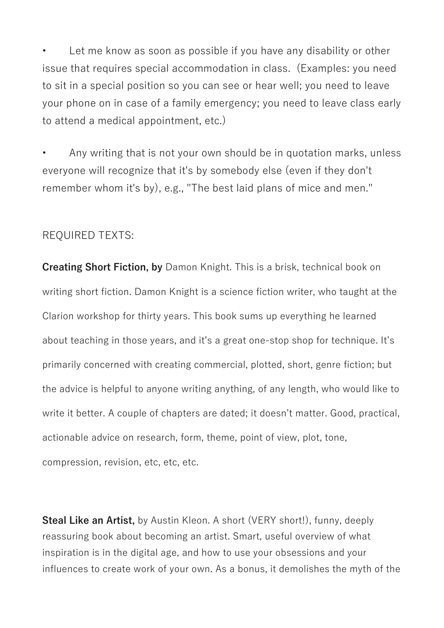Let me know as soon as possible if you have any disability or other issue that requires special accommodation in class. (Examples: you need to sit in a special position so you can see or hear well; you need to leave your phone on in case of a family emergency; you need to leave class early to attend a medical appointment, etc.)

• Any writing that is not your own should be in quotation marks, unless everyone will recognize that it's by somebody else (even if they don't remember whom it's by), e.g., "The best laid plans of mice and men."

#### REQUIRED TEXTS:

**Creating Short Fiction, by** Damon Knight. This is a brisk, technical book on writing short fiction. Damon Knight is a science fiction writer, who taught at the Clarion workshop for thirty years. This book sums up everything he learned about teaching in those years, and it's a great one-stop shop for technique. It's primarily concerned with creating commercial, plotted, short, genre fiction; but the advice is helpful to anyone writing anything, of any length, who would like to write it better. A couple of chapters are dated; it doesn't matter. Good, practical, actionable advice on research, form, theme, point of view, plot, tone, compression, revision, etc, etc, etc.

**Steal Like an Artist,** by Austin Kleon. A short (VERY short!), funny, deeply reassuring book about becoming an artist. Smart, useful overview of what inspiration is in the digital age, and how to use your obsessions and your influences to create work of your own. As a bonus, it demolishes the myth of the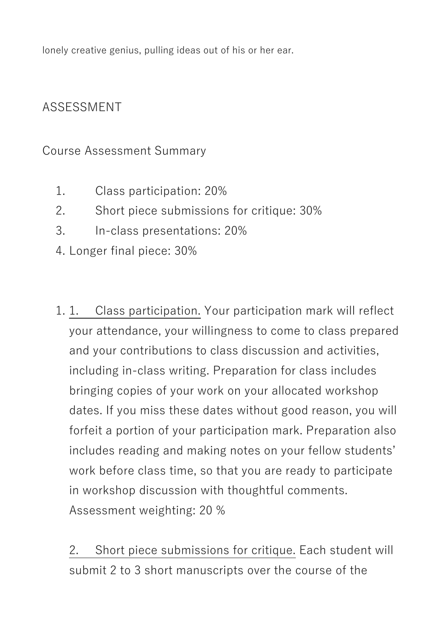lonely creative genius, pulling ideas out of his or her ear.

# ASSESSMENT

Course Assessment Summary

- 1. Class participation: 20%
- 2. Short piece submissions for critique: 30%
- 3. In-class presentations: 20%
- 4. Longer final piece: 30%
- 1. 1. Class participation. Your participation mark will reflect your attendance, your willingness to come to class prepared and your contributions to class discussion and activities, including in-class writing. Preparation for class includes bringing copies of your work on your allocated workshop dates. If you miss these dates without good reason, you will forfeit a portion of your participation mark. Preparation also includes reading and making notes on your fellow students' work before class time, so that you are ready to participate in workshop discussion with thoughtful comments. Assessment weighting: 20 %

2. Short piece submissions for critique. Each student will submit 2 to 3 short manuscripts over the course of the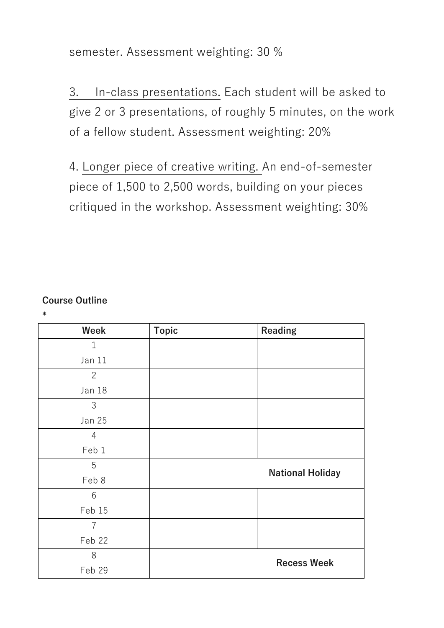semester. Assessment weighting: 30 %

3. In-class presentations. Each student will be asked to give 2 or 3 presentations, of roughly 5 minutes, on the work of a fellow student. Assessment weighting: 20%

4. Longer piece of creative writing. An end-of-semester piece of 1,500 to 2,500 words, building on your pieces critiqued in the workshop. Assessment weighting: 30%

#### **Course Outline**

**\***

| Week            | <b>Topic</b> | <b>Reading</b>          |  |
|-----------------|--------------|-------------------------|--|
| $\mathbf 1$     |              |                         |  |
| Jan 11          |              |                         |  |
| $\mathbf{2}$    |              |                         |  |
| Jan 18          |              |                         |  |
| $\mathfrak{Z}$  |              |                         |  |
| <b>Jan 25</b>   |              |                         |  |
| 4               |              |                         |  |
| Feb 1           |              |                         |  |
| 5               |              | <b>National Holiday</b> |  |
| Feb 8           |              |                         |  |
| $6\phantom{1}6$ |              |                         |  |
| Feb 15          |              |                         |  |
| 7               |              |                         |  |
| Feb 22          |              |                         |  |
| 8               |              | <b>Recess Week</b>      |  |
| Feb 29          |              |                         |  |